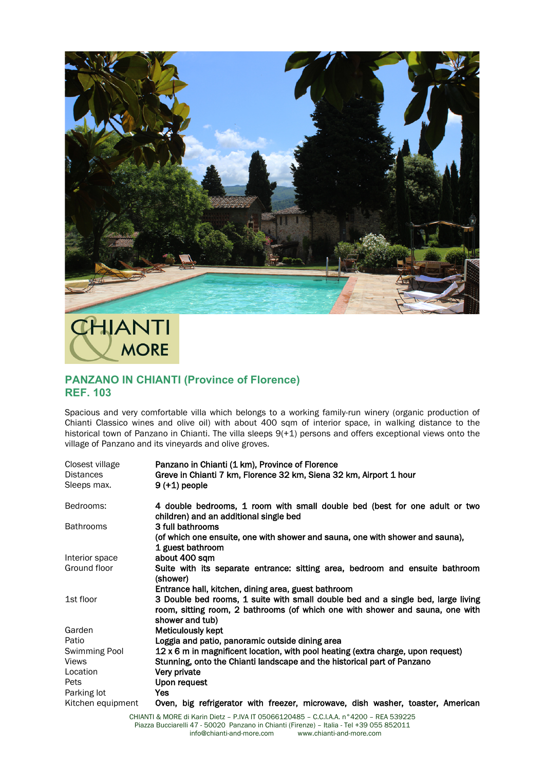

## CHIANTI **MORE**

## **PANZANO IN CHIANTI (Province of Florence) REF. 103**

Spacious and very comfortable villa which belongs to a working family-run winery (organic production of Chianti Classico wines and olive oil) with about 400 sqm of interior space, in walking distance to the historical town of Panzano in Chianti. The villa sleeps 9(+1) persons and offers exceptional views onto the village of Panzano and its vineyards and olive groves.

| Closest village   | Panzano in Chianti (1 km), Province of Florence                                                                      |
|-------------------|----------------------------------------------------------------------------------------------------------------------|
| <b>Distances</b>  | Greve in Chianti 7 km, Florence 32 km, Siena 32 km, Airport 1 hour                                                   |
| Sleeps max.       | $9 (+1)$ people                                                                                                      |
| Bedrooms:         | 4 double bedrooms, 1 room with small double bed (best for one adult or two<br>children) and an additional single bed |
| <b>Bathrooms</b>  | 3 full bathrooms                                                                                                     |
|                   | (of which one ensuite, one with shower and sauna, one with shower and sauna),                                        |
|                   | 1 guest bathroom                                                                                                     |
| Interior space    | about 400 sqm                                                                                                        |
| Ground floor      | Suite with its separate entrance: sitting area, bedroom and ensuite bathroom                                         |
|                   | (shower)                                                                                                             |
|                   | Entrance hall, kitchen, dining area, guest bathroom                                                                  |
| 1st floor         | 3 Double bed rooms, 1 suite with small double bed and a single bed, large living                                     |
|                   | room, sitting room, 2 bathrooms (of which one with shower and sauna, one with<br>shower and tub)                     |
| Garden            | Meticulously kept                                                                                                    |
| Patio             | Loggia and patio, panoramic outside dining area                                                                      |
| Swimming Pool     | 12 x 6 m in magnificent location, with pool heating (extra charge, upon request)                                     |
| <b>Views</b>      | Stunning, onto the Chianti landscape and the historical part of Panzano                                              |
| Location          | Very private                                                                                                         |
| Pets              | Upon request                                                                                                         |
| Parking lot       | Yes                                                                                                                  |
| Kitchen equipment | Oven, big refrigerator with freezer, microwave, dish washer, toaster, American                                       |